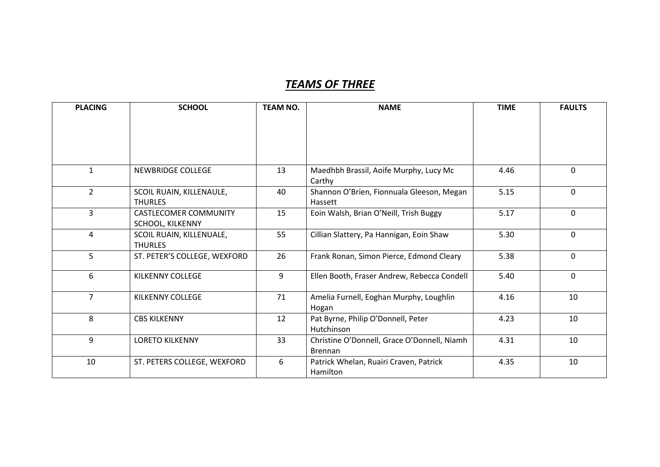## *TEAMS OF THREE*

| <b>PLACING</b> | <b>SCHOOL</b>                | <b>TEAM NO.</b> | <b>NAME</b>                                 | <b>TIME</b> | <b>FAULTS</b> |
|----------------|------------------------------|-----------------|---------------------------------------------|-------------|---------------|
|                |                              |                 |                                             |             |               |
|                |                              |                 |                                             |             |               |
|                |                              |                 |                                             |             |               |
|                |                              |                 |                                             |             |               |
| $\mathbf{1}$   | <b>NEWBRIDGE COLLEGE</b>     | 13              | Maedhbh Brassil, Aoife Murphy, Lucy Mc      | 4.46        | $\mathbf 0$   |
|                |                              |                 | Carthy                                      |             |               |
| $\overline{2}$ | SCOIL RUAIN, KILLENAULE,     | 40              | Shannon O'Brien, Fionnuala Gleeson, Megan   | 5.15        | $\mathbf 0$   |
|                | <b>THURLES</b>               |                 | Hassett                                     |             |               |
| $\overline{3}$ | <b>CASTLECOMER COMMUNITY</b> | 15              | Eoin Walsh, Brian O'Neill, Trish Buggy      | 5.17        | $\mathbf{0}$  |
|                | SCHOOL, KILKENNY             |                 |                                             |             |               |
| 4              | SCOIL RUAIN, KILLENUALE,     | 55              | Cillian Slattery, Pa Hannigan, Eoin Shaw    | 5.30        | $\mathbf{0}$  |
|                | <b>THURLES</b>               |                 |                                             |             |               |
| 5              | ST. PETER'S COLLEGE, WEXFORD | 26              | Frank Ronan, Simon Pierce, Edmond Cleary    | 5.38        | $\mathbf 0$   |
| 6              | <b>KILKENNY COLLEGE</b>      | 9               | Ellen Booth, Fraser Andrew, Rebecca Condell | 5.40        | $\mathbf{0}$  |
|                |                              |                 |                                             |             |               |
| $\overline{7}$ | KILKENNY COLLEGE             | 71              | Amelia Furnell, Eoghan Murphy, Loughlin     | 4.16        | 10            |
|                |                              |                 | Hogan                                       |             |               |
| 8              | <b>CBS KILKENNY</b>          | 12              | Pat Byrne, Philip O'Donnell, Peter          | 4.23        | 10            |
|                |                              |                 | Hutchinson                                  |             |               |
| 9              | <b>LORETO KILKENNY</b>       | 33              | Christine O'Donnell, Grace O'Donnell, Niamh | 4.31        | 10            |
|                |                              |                 | <b>Brennan</b>                              |             |               |
| 10             | ST. PETERS COLLEGE, WEXFORD  | 6               | Patrick Whelan, Ruairi Craven, Patrick      | 4.35        | 10            |
|                |                              |                 | Hamilton                                    |             |               |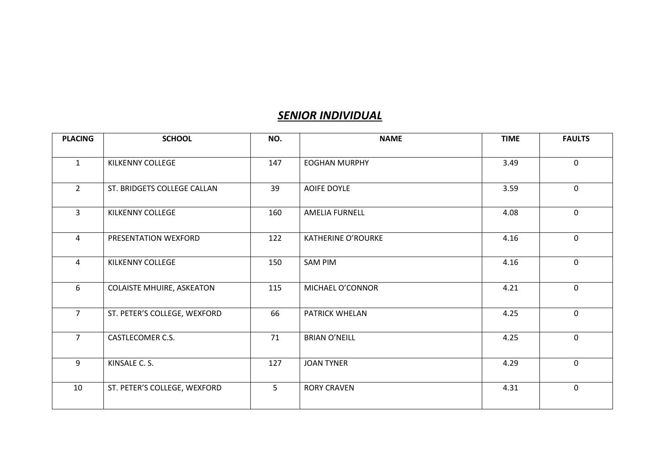## *SENIOR INDIVIDUAL*

| <b>PLACING</b> | <b>SCHOOL</b>                    | NO.            | <b>NAME</b>               | <b>TIME</b> | <b>FAULTS</b> |
|----------------|----------------------------------|----------------|---------------------------|-------------|---------------|
| $\mathbf{1}$   | <b>KILKENNY COLLEGE</b>          | 147            | <b>EOGHAN MURPHY</b>      | 3.49        | $\mathbf 0$   |
| $\overline{2}$ | ST. BRIDGETS COLLEGE CALLAN      | 39             | <b>AOIFE DOYLE</b>        | 3.59        | $\mathbf{0}$  |
| 3              | KILKENNY COLLEGE                 | 160            | <b>AMELIA FURNELL</b>     | 4.08        | $\mathbf 0$   |
| 4              | PRESENTATION WEXFORD             | 122            | <b>KATHERINE O'ROURKE</b> | 4.16        | $\mathbf 0$   |
| 4              | KILKENNY COLLEGE                 | 150            | <b>SAM PIM</b>            | 4.16        | $\mathbf{0}$  |
| 6              | <b>COLAISTE MHUIRE, ASKEATON</b> | 115            | MICHAEL O'CONNOR          | 4.21        | $\mathbf{0}$  |
| $\overline{7}$ | ST. PETER'S COLLEGE, WEXFORD     | 66             | PATRICK WHELAN            | 4.25        | $\mathbf 0$   |
| $\overline{7}$ | CASTLECOMER C.S.                 | 71             | <b>BRIAN O'NEILL</b>      | 4.25        | $\mathbf 0$   |
| 9              | KINSALE C. S.                    | 127            | <b>JOAN TYNER</b>         | 4.29        | $\mathbf 0$   |
| 10             | ST. PETER'S COLLEGE, WEXFORD     | 5 <sup>1</sup> | <b>RORY CRAVEN</b>        | 4.31        | $\mathbf 0$   |